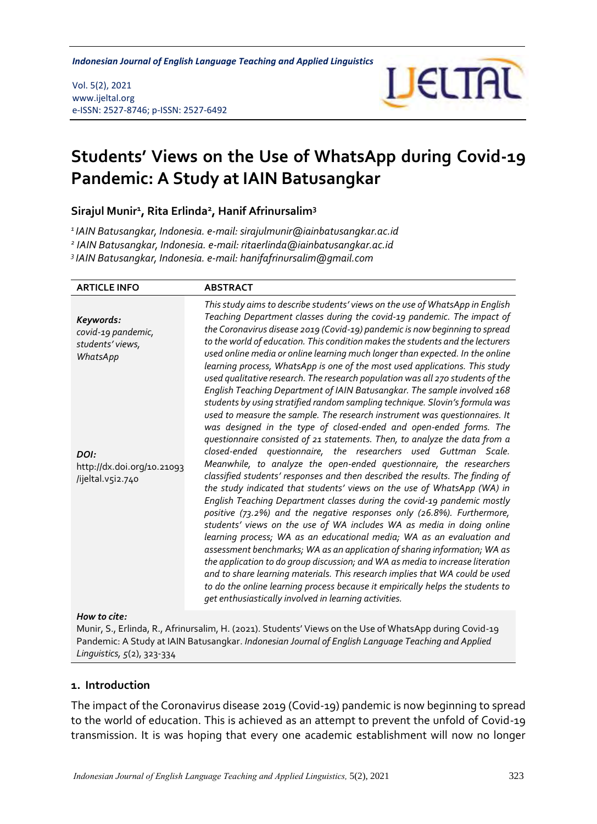*Students' Views on the Use of WhatsApp during Covid-19 Pandemic Indonesian Journal of English Language Teaching and Applied Linguistics*

#### Vol. 5(2), 2021 www.ijeltal.org e-ISSN: 2527-8746; p-ISSN: 2527-6492



# **Students' Views on the Use of WhatsApp during Covid-19 Pandemic: A Study at IAIN Batusangkar**

**Sirajul Munir<sup>1</sup> , Rita Erlinda<sup>2</sup> , Hanif Afrinursalim<sup>3</sup>**

*<sup>1</sup>IAIN Batusangkar, Indonesia. e-mail[: sirajulmunir@iainbatusangkar.ac.id](mailto:sirajulmunir@iainbatusangkar.ac.id)*

*2 IAIN Batusangkar, Indonesia. e-mail: ritaerlinda@iainbatusangkar.ac.id*

*3 IAIN Batusangkar, Indonesia. e-mail: hanifafrinursalim@gmail.com*

| <b>ARTICLE INFO</b>                                                                                                        | <b>ABSTRACT</b>                                                                                                                                                                                                                                                                                                                                                                                                                                                                                                                                                                                                                                                                                                                                                                                                                                                                                                                                                                                                                                                                                                                                                                                                                                                                                                                                                                                                                                                                                                                                                                        |
|----------------------------------------------------------------------------------------------------------------------------|----------------------------------------------------------------------------------------------------------------------------------------------------------------------------------------------------------------------------------------------------------------------------------------------------------------------------------------------------------------------------------------------------------------------------------------------------------------------------------------------------------------------------------------------------------------------------------------------------------------------------------------------------------------------------------------------------------------------------------------------------------------------------------------------------------------------------------------------------------------------------------------------------------------------------------------------------------------------------------------------------------------------------------------------------------------------------------------------------------------------------------------------------------------------------------------------------------------------------------------------------------------------------------------------------------------------------------------------------------------------------------------------------------------------------------------------------------------------------------------------------------------------------------------------------------------------------------------|
| Keywords:<br>covid-19 pandemic,<br>students' views,<br>WhatsApp<br>DOI:<br>http://dx.doi.org/10.21093<br>/ijeltal.v5i2.740 | This study aims to describe students' views on the use of WhatsApp in English<br>Teaching Department classes during the covid-19 pandemic. The impact of<br>the Coronavirus disease 2019 (Covid-19) pandemic is now beginning to spread<br>to the world of education. This condition makes the students and the lecturers<br>used online media or online learning much longer than expected. In the online<br>learning process, WhatsApp is one of the most used applications. This study<br>used qualitative research. The research population was all 270 students of the<br>English Teaching Department of IAIN Batusangkar. The sample involved 168<br>students by using stratified random sampling technique. Slovin's formula was<br>used to measure the sample. The research instrument was questionnaires. It<br>was designed in the type of closed-ended and open-ended forms. The<br>questionnaire consisted of 21 statements. Then, to analyze the data from a<br>closed-ended questionnaire, the researchers used Guttman Scale.<br>Meanwhile, to analyze the open-ended questionnaire, the researchers<br>classified students' responses and then described the results. The finding of<br>the study indicated that students' views on the use of WhatsApp (WA) in<br>English Teaching Department classes during the covid-19 pandemic mostly<br>positive (73.2%) and the negative responses only (26.8%). Furthermore,<br>students' views on the use of WA includes WA as media in doing online<br>learning process; WA as an educational media; WA as an evaluation and |
|                                                                                                                            | assessment benchmarks; WA as an application of sharing information; WA as<br>the application to do group discussion; and WA as media to increase literation<br>and to share learning materials. This research implies that WA could be used<br>to do the online learning process because it empirically helps the students to<br>get enthusiastically involved in learning activities.                                                                                                                                                                                                                                                                                                                                                                                                                                                                                                                                                                                                                                                                                                                                                                                                                                                                                                                                                                                                                                                                                                                                                                                                 |
| How to cite:                                                                                                               |                                                                                                                                                                                                                                                                                                                                                                                                                                                                                                                                                                                                                                                                                                                                                                                                                                                                                                                                                                                                                                                                                                                                                                                                                                                                                                                                                                                                                                                                                                                                                                                        |
|                                                                                                                            | Munir, S., Erlinda, R., Afrinursalim, H. (2021). Students' Views on the Use of WhatsApp during Covid-19                                                                                                                                                                                                                                                                                                                                                                                                                                                                                                                                                                                                                                                                                                                                                                                                                                                                                                                                                                                                                                                                                                                                                                                                                                                                                                                                                                                                                                                                                |

Pandemic: A Study at IAIN Batusangkar. *Indonesian Journal of English Language Teaching and Applied Linguistics, 5*(2), 323-334

#### **1. Introduction**

The impact of the Coronavirus disease 2019 (Covid-19) pandemic is now beginning to spread to the world of education. This is achieved as an attempt to prevent the unfold of Covid-19 transmission. It is was hoping that every one academic establishment will now no longer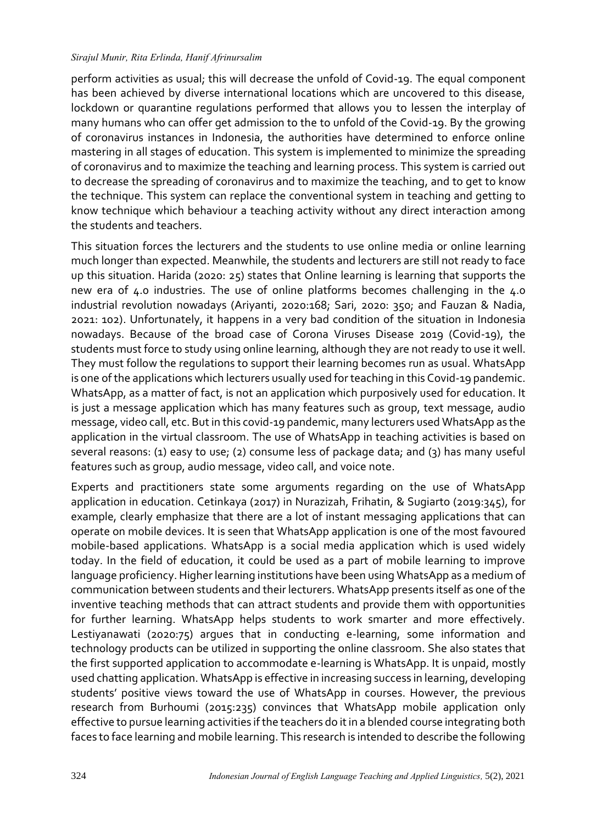perform activities as usual; this will decrease the unfold of Covid-19. The equal component has been achieved by diverse international locations which are uncovered to this disease, lockdown or quarantine regulations performed that allows you to lessen the interplay of many humans who can offer get admission to the to unfold of the Covid-19. By the growing of coronavirus instances in Indonesia, the authorities have determined to enforce online mastering in all stages of education. This system is implemented to minimize the spreading of coronavirus and to maximize the teaching and learning process. This system is carried out to decrease the spreading of coronavirus and to maximize the teaching, and to get to know the technique. This system can replace the conventional system in teaching and getting to know technique which behaviour a teaching activity without any direct interaction among the students and teachers.

This situation forces the lecturers and the students to use online media or online learning much longer than expected. Meanwhile, the students and lecturers are still not ready to face up this situation. Harida (2020: 25) states that Online learning is learning that supports the new era of 4.0 industries. The use of online platforms becomes challenging in the 4.0 industrial revolution nowadays (Ariyanti, 2020:168; Sari, 2020: 350; and Fauzan & Nadia, 2021: 102). Unfortunately, it happens in a very bad condition of the situation in Indonesia nowadays. Because of the broad case of Corona Viruses Disease 2019 (Covid-19), the students must force to study using online learning, although they are not ready to use it well. They must follow the regulations to support their learning becomes run as usual. WhatsApp is one of the applications which lecturers usually used for teaching in this Covid-19 pandemic. WhatsApp, as a matter of fact, is not an application which purposively used for education. It is just a message application which has many features such as group, text message, audio message, video call, etc. But in this covid-19 pandemic, many lecturers used WhatsApp as the application in the virtual classroom. The use of WhatsApp in teaching activities is based on several reasons: (1) easy to use; (2) consume less of package data; and (3) has many useful features such as group, audio message, video call, and voice note.

Experts and practitioners state some arguments regarding on the use of WhatsApp application in education. Cetinkaya (2017) in Nurazizah, Frihatin, & Sugiarto (2019:345), for example, clearly emphasize that there are a lot of instant messaging applications that can operate on mobile devices. It is seen that WhatsApp application is one of the most favoured mobile-based applications. WhatsApp is a social media application which is used widely today. In the field of education, it could be used as a part of mobile learning to improve language proficiency. Higher learning institutions have been using WhatsApp as a medium of communication between students and their lecturers. WhatsApp presents itself as one of the inventive teaching methods that can attract students and provide them with opportunities for further learning. WhatsApp helps students to work smarter and more effectively. Lestiyanawati (2020:75) argues that in conducting e-learning, some information and technology products can be utilized in supporting the online classroom. She also states that the first supported application to accommodate e-learning is WhatsApp. It is unpaid, mostly used chatting application. WhatsApp is effective in increasing success in learning, developing students' positive views toward the use of WhatsApp in courses. However, the previous research from Burhoumi (2015:235) convinces that WhatsApp mobile application only effective to pursue learning activities if the teachers do it in a blended course integrating both faces to face learning and mobile learning. This research is intended to describe the following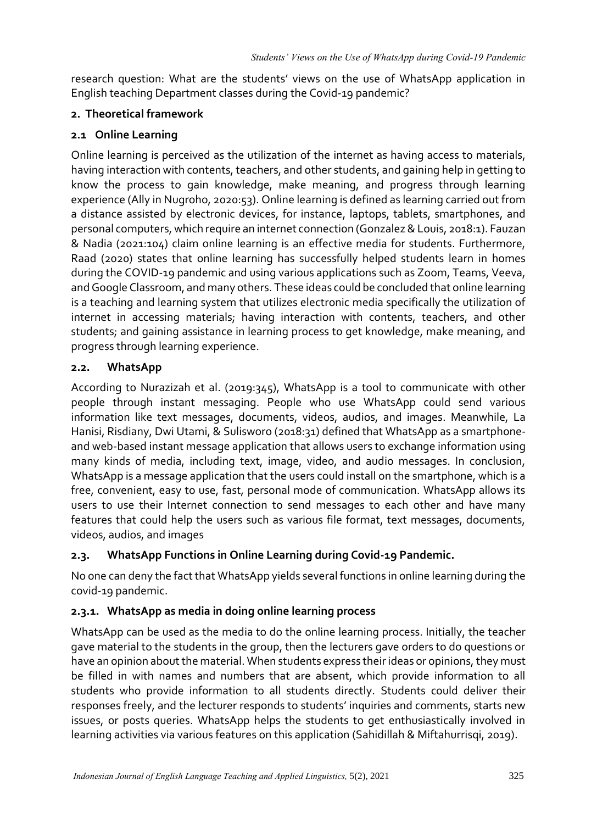research question: What are the students' views on the use of WhatsApp application in English teaching Department classes during the Covid-19 pandemic?

### **2. Theoretical framework**

### **2.1 Online Learning**

Online learning is perceived as the utilization of the internet as having access to materials, having interaction with contents, teachers, and other students, and gaining help in getting to know the process to gain knowledge, make meaning, and progress through learning experience (Ally in Nugroho, 2020:53). Online learning is defined as learning carried out from a distance assisted by electronic devices, for instance, laptops, tablets, smartphones, and personal computers, which require an internet connection (Gonzalez & Louis, 2018:1). Fauzan & Nadia (2021:104) claim online learning is an effective media for students. Furthermore, Raad (2020) states that online learning has successfully helped students learn in homes during the COVID-19 pandemic and using various applications such as Zoom, Teams, Veeva, and Google Classroom, and many others. These ideas could be concluded that online learning is a teaching and learning system that utilizes electronic media specifically the utilization of internet in accessing materials; having interaction with contents, teachers, and other students; and gaining assistance in learning process to get knowledge, make meaning, and progress through learning experience.

### **2.2. WhatsApp**

According to Nurazizah et al. (2019:345), WhatsApp is a tool to communicate with other people through instant messaging. People who use WhatsApp could send various information like text messages, documents, videos, audios, and images. Meanwhile, La Hanisi, Risdiany, Dwi Utami, & Sulisworo (2018:31) defined that WhatsApp as a smartphoneand web-based instant message application that allows users to exchange information using many kinds of media, including text, image, video, and audio messages. In conclusion, WhatsApp is a message application that the users could install on the smartphone, which is a free, convenient, easy to use, fast, personal mode of communication. WhatsApp allows its users to use their Internet connection to send messages to each other and have many features that could help the users such as various file format, text messages, documents, videos, audios, and images

# **2.3. WhatsApp Functions in Online Learning during Covid-19 Pandemic.**

No one can deny the fact that WhatsApp yields several functions in online learning during the covid-19 pandemic.

# **2.3.1. WhatsApp as media in doing online learning process**

WhatsApp can be used as the media to do the online learning process. Initially, the teacher gave material to the students in the group, then the lecturers gave orders to do questions or have an opinion about the material. When students express their ideas or opinions, they must be filled in with names and numbers that are absent, which provide information to all students who provide information to all students directly. Students could deliver their responses freely, and the lecturer responds to students' inquiries and comments, starts new issues, or posts queries. WhatsApp helps the students to get enthusiastically involved in learning activities via various features on this application (Sahidillah & Miftahurrisqi, 2019).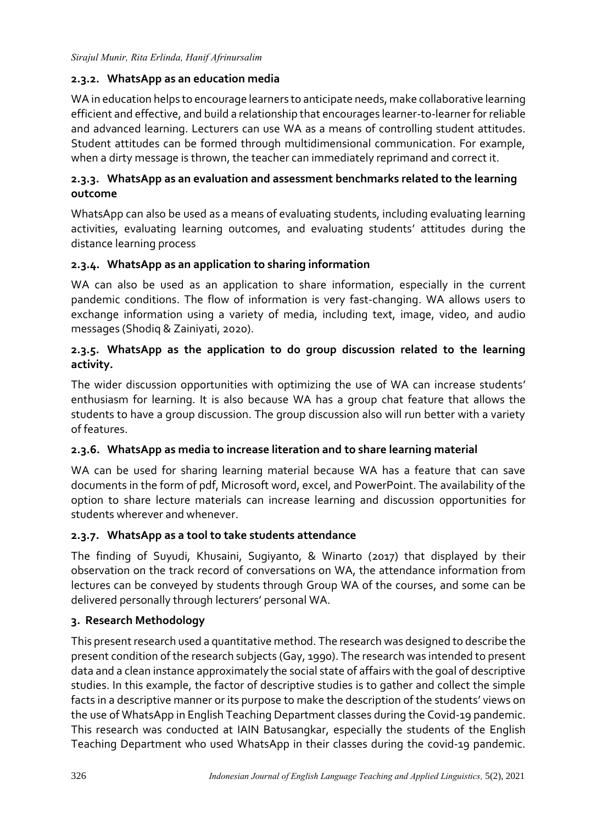# **2.3.2. WhatsApp as an education media**

WA in education helps to encourage learners to anticipate needs, make collaborative learning efficient and effective, and build a relationship that encourages learner-to-learner for reliable and advanced learning. Lecturers can use WA as a means of controlling student attitudes. Student attitudes can be formed through multidimensional communication. For example, when a dirty message is thrown, the teacher can immediately reprimand and correct it.

# **2.3.3. WhatsApp as an evaluation and assessment benchmarks related to the learning outcome**

WhatsApp can also be used as a means of evaluating students, including evaluating learning activities, evaluating learning outcomes, and evaluating students' attitudes during the distance learning process

# **2.3.4. WhatsApp as an application to sharing information**

WA can also be used as an application to share information, especially in the current pandemic conditions. The flow of information is very fast-changing. WA allows users to exchange information using a variety of media, including text, image, video, and audio messages (Shodiq & Zainiyati, 2020).

# **2.3.5. WhatsApp as the application to do group discussion related to the learning activity.**

The wider discussion opportunities with optimizing the use of WA can increase students' enthusiasm for learning. It is also because WA has a group chat feature that allows the students to have a group discussion. The group discussion also will run better with a variety of features.

# **2.3.6. WhatsApp as media to increase literation and to share learning material**

WA can be used for sharing learning material because WA has a feature that can save documents in the form of pdf, Microsoft word, excel, and PowerPoint. The availability of the option to share lecture materials can increase learning and discussion opportunities for students wherever and whenever.

# **2.3.7. WhatsApp as a tool to take students attendance**

The finding of Suyudi, Khusaini, Sugiyanto, & Winarto (2017) that displayed by their observation on the track record of conversations on WA, the attendance information from lectures can be conveyed by students through Group WA of the courses, and some can be delivered personally through lecturers' personal WA.

# **3. Research Methodology**

This present research used a quantitative method. The research was designed to describe the present condition of the research subjects (Gay, 1990). The research was intended to present data and a clean instance approximately the social state of affairs with the goal of descriptive studies. In this example, the factor of descriptive studies is to gather and collect the simple facts in a descriptive manner or its purpose to make the description of the students' views on the use of WhatsApp in English Teaching Department classes during the Covid-19 pandemic. This research was conducted at IAIN Batusangkar, especially the students of the English Teaching Department who used WhatsApp in their classes during the covid-19 pandemic.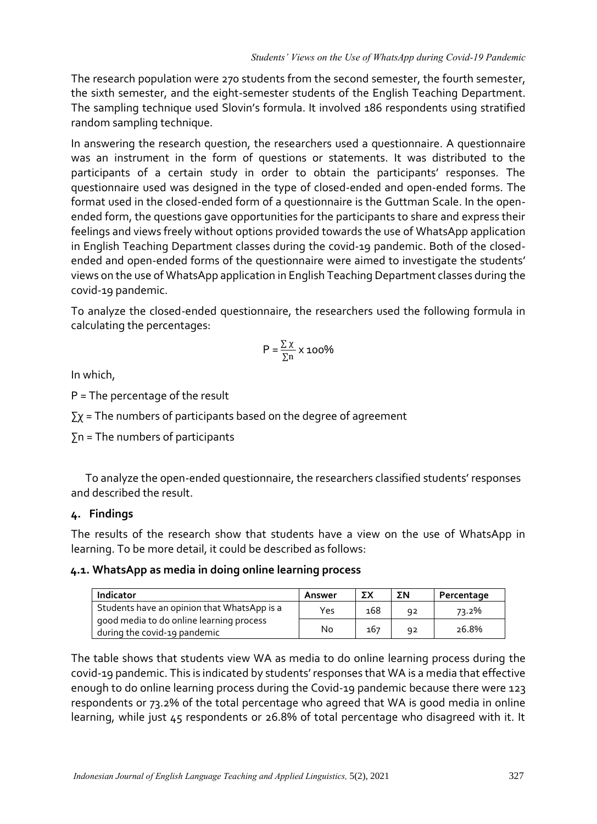The research population were 270 students from the second semester, the fourth semester, the sixth semester, and the eight-semester students of the English Teaching Department. The sampling technique used Slovin's formula. It involved 186 respondents using stratified random sampling technique.

In answering the research question, the researchers used a questionnaire. A questionnaire was an instrument in the form of questions or statements. It was distributed to the participants of a certain study in order to obtain the participants' responses. The questionnaire used was designed in the type of closed-ended and open-ended forms. The format used in the closed-ended form of a questionnaire is the Guttman Scale. In the openended form, the questions gave opportunities for the participants to share and express their feelings and views freely without options provided towards the use of WhatsApp application in English Teaching Department classes during the covid-19 pandemic. Both of the closedended and open-ended forms of the questionnaire were aimed to investigate the students' views on the use of WhatsApp application in English Teaching Department classes during the covid-19 pandemic.

To analyze the closed-ended questionnaire, the researchers used the following formula in calculating the percentages:

$$
P = \frac{\sum \chi}{\sum n} \times 100\%
$$

In which,

P = The percentage of the result

 $\Sigma$ χ = The numbers of participants based on the degree of agreement

 $\Sigma$ n = The numbers of participants

To analyze the open-ended questionnaire, the researchers classified students' responses and described the result.

# **4. Findings**

The results of the research show that students have a view on the use of WhatsApp in learning. To be more detail, it could be described as follows:

# **4.1. WhatsApp as media in doing online learning process**

| Indicator                                                                                                               | Answer | ΣΧ  | ΣΝ | Percentage |
|-------------------------------------------------------------------------------------------------------------------------|--------|-----|----|------------|
| Students have an opinion that WhatsApp is a<br>good media to do online learning process<br>during the covid-19 pandemic | Yes    | 168 | 92 | 73.2%      |
|                                                                                                                         | No     | 167 | 92 | 26.8%      |

The table shows that students view WA as media to do online learning process during the covid-19 pandemic. This is indicated by students' responses that WA is a media that effective enough to do online learning process during the Covid-19 pandemic because there were 123 respondents or 73.2% of the total percentage who agreed that WA is good media in online learning, while just 45 respondents or 26.8% of total percentage who disagreed with it. It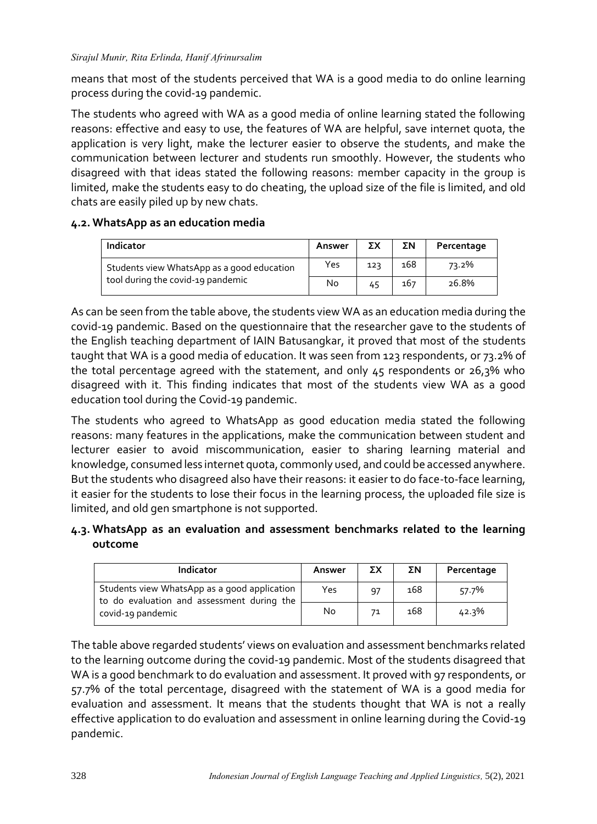means that most of the students perceived that WA is a good media to do online learning process during the covid-19 pandemic.

The students who agreed with WA as a good media of online learning stated the following reasons: effective and easy to use, the features of WA are helpful, save internet quota, the application is very light, make the lecturer easier to observe the students, and make the communication between lecturer and students run smoothly. However, the students who disagreed with that ideas stated the following reasons: member capacity in the group is limited, make the students easy to do cheating, the upload size of the file is limited, and old chats are easily piled up by new chats.

### **4.2. WhatsApp as an education media**

| Indicator                                                                       | Answer | ΣХ  | ΣΝ  | Percentage |
|---------------------------------------------------------------------------------|--------|-----|-----|------------|
| Students view WhatsApp as a good education<br>tool during the covid-19 pandemic | Yes    | 123 | 168 | 73.2%      |
|                                                                                 | No     | 45  | 167 | 26.8%      |

As can be seen from the table above, the students view WA as an education media during the covid-19 pandemic. Based on the questionnaire that the researcher gave to the students of the English teaching department of IAIN Batusangkar, it proved that most of the students taught that WA is a good media of education. It was seen from 123 respondents, or 73.2% of the total percentage agreed with the statement, and only 45 respondents or 26,3% who disagreed with it. This finding indicates that most of the students view WA as a good education tool during the Covid-19 pandemic.

The students who agreed to WhatsApp as good education media stated the following reasons: many features in the applications, make the communication between student and lecturer easier to avoid miscommunication, easier to sharing learning material and knowledge, consumed less internet quota, commonly used, and could be accessed anywhere. But the students who disagreed also have their reasons: it easier to do face-to-face learning, it easier for the students to lose their focus in the learning process, the uploaded file size is limited, and old gen smartphone is not supported.

### **4.3. WhatsApp as an evaluation and assessment benchmarks related to the learning outcome**

| Indicator                                                                                                       | Answer | ΣΧ | ΣΝ  | Percentage |
|-----------------------------------------------------------------------------------------------------------------|--------|----|-----|------------|
| Students view WhatsApp as a good application<br>to do evaluation and assessment during the<br>covid-19 pandemic | Yes    | 97 | 168 | 57.7%      |
|                                                                                                                 | No     | 71 | 168 | 42.3%      |

The table above regarded students' views on evaluation and assessment benchmarks related to the learning outcome during the covid-19 pandemic. Most of the students disagreed that WA is a good benchmark to do evaluation and assessment. It proved with 97 respondents, or 57.7% of the total percentage, disagreed with the statement of WA is a good media for evaluation and assessment. It means that the students thought that WA is not a really effective application to do evaluation and assessment in online learning during the Covid-19 pandemic.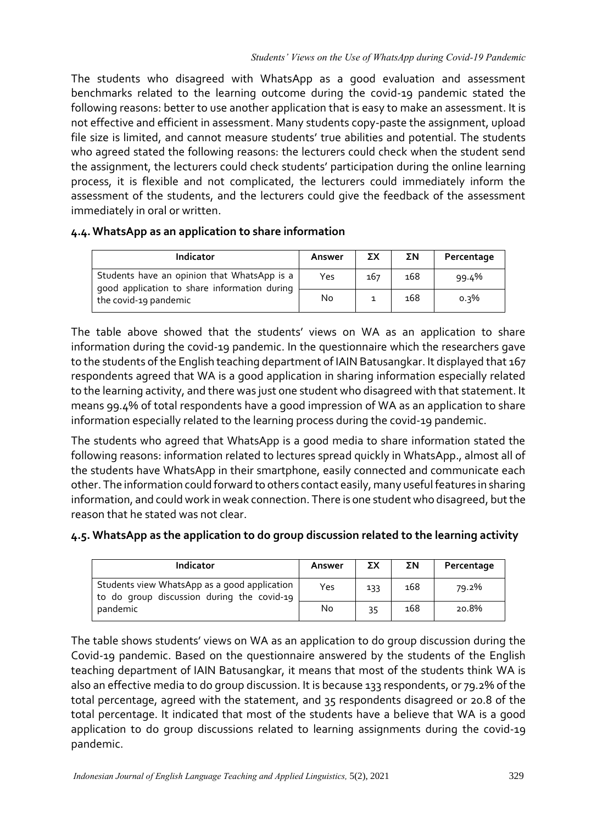The students who disagreed with WhatsApp as a good evaluation and assessment benchmarks related to the learning outcome during the covid-19 pandemic stated the following reasons: better to use another application that is easy to make an assessment. It is not effective and efficient in assessment. Many students copy-paste the assignment, upload file size is limited, and cannot measure students' true abilities and potential. The students who agreed stated the following reasons: the lecturers could check when the student send the assignment, the lecturers could check students' participation during the online learning process, it is flexible and not complicated, the lecturers could immediately inform the assessment of the students, and the lecturers could give the feedback of the assessment immediately in oral or written.

### **4.4.WhatsApp as an application to share information**

| Indicator                                                                                                            | Answer | ΣΧ  | ΣΝ  | Percentage |
|----------------------------------------------------------------------------------------------------------------------|--------|-----|-----|------------|
| Students have an opinion that WhatsApp is a<br>good application to share information during<br>the covid-19 pandemic | Yes    | 167 | 168 | 99.4%      |
|                                                                                                                      | No     |     | 168 | $0.3\%$    |

The table above showed that the students' views on WA as an application to share information during the covid-19 pandemic. In the questionnaire which the researchers gave to the students of the English teaching department of IAIN Batusangkar. It displayed that 167 respondents agreed that WA is a good application in sharing information especially related to the learning activity, and there was just one student who disagreed with that statement. It means 99.4% of total respondents have a good impression of WA as an application to share information especially related to the learning process during the covid-19 pandemic.

The students who agreed that WhatsApp is a good media to share information stated the following reasons: information related to lectures spread quickly in WhatsApp., almost all of the students have WhatsApp in their smartphone, easily connected and communicate each other. The information could forward to others contact easily, many useful features in sharing information, and could work in weak connection. There is one student who disagreed, but the reason that he stated was not clear.

# **4.5. WhatsApp as the application to do group discussion related to the learning activity**

| <b>Indicator</b>                                                                                       | Answer | ΣΧ  | ΣΝ  | Percentage |
|--------------------------------------------------------------------------------------------------------|--------|-----|-----|------------|
| Students view WhatsApp as a good application<br>to do group discussion during the covid-19<br>pandemic | Yes    | 133 | 168 | 79.2%      |
|                                                                                                        | No     | 35  | 168 | 20.8%      |

The table shows students' views on WA as an application to do group discussion during the Covid-19 pandemic. Based on the questionnaire answered by the students of the English teaching department of IAIN Batusangkar, it means that most of the students think WA is also an effective media to do group discussion. It is because 133 respondents, or 79.2% of the total percentage, agreed with the statement, and 35 respondents disagreed or 20.8 of the total percentage. It indicated that most of the students have a believe that WA is a good application to do group discussions related to learning assignments during the covid-19 pandemic.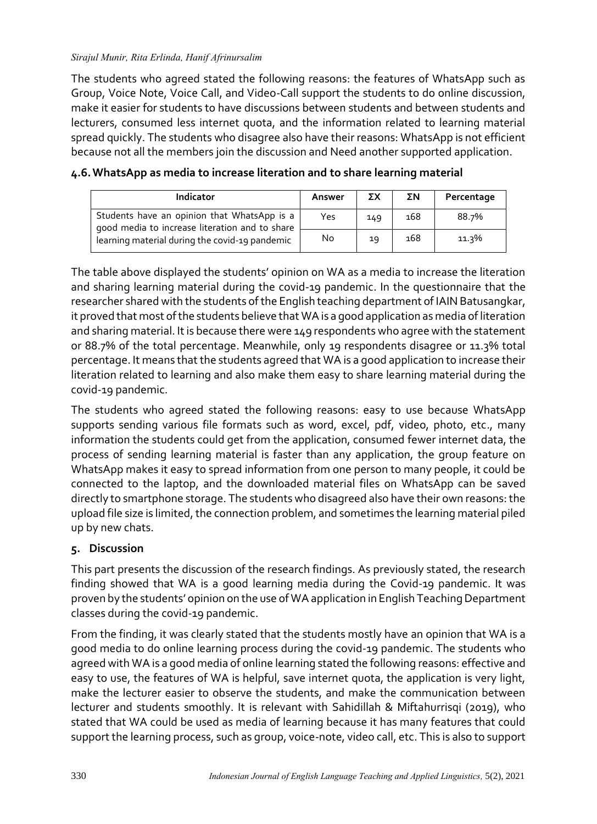The students who agreed stated the following reasons: the features of WhatsApp such as Group, Voice Note, Voice Call, and Video-Call support the students to do online discussion, make it easier for students to have discussions between students and between students and lecturers, consumed less internet quota, and the information related to learning material spread quickly. The students who disagree also have their reasons: WhatsApp is not efficient because not all the members join the discussion and Need another supported application.

| Indicator                                                                                                                                       | Answer | ΣX  | ΣΝ  | Percentage |
|-------------------------------------------------------------------------------------------------------------------------------------------------|--------|-----|-----|------------|
| Students have an opinion that WhatsApp is a<br>good media to increase literation and to share<br>learning material during the covid-19 pandemic | Yes    | 149 | 168 | 88.7%      |
|                                                                                                                                                 | No     | 19  | 168 | 11.3%      |

### **4.6.WhatsApp as media to increase literation and to share learning material**

The table above displayed the students' opinion on WA as a media to increase the literation and sharing learning material during the covid-19 pandemic. In the questionnaire that the researcher shared with the students of the English teaching department of IAIN Batusangkar, it proved that most of the students believe that WA is a good application as media of literation and sharing material. It is because there were 149 respondents who agree with the statement or 88.7% of the total percentage. Meanwhile, only 19 respondents disagree or 11.3% total percentage. It means that the students agreed that WA is a good application to increase their literation related to learning and also make them easy to share learning material during the covid-19 pandemic.

The students who agreed stated the following reasons: easy to use because WhatsApp supports sending various file formats such as word, excel, pdf, video, photo, etc., many information the students could get from the application, consumed fewer internet data, the process of sending learning material is faster than any application, the group feature on WhatsApp makes it easy to spread information from one person to many people, it could be connected to the laptop, and the downloaded material files on WhatsApp can be saved directly to smartphone storage. The students who disagreed also have their own reasons: the upload file size is limited, the connection problem, and sometimes the learning material piled up by new chats.

# **5. Discussion**

This part presents the discussion of the research findings. As previously stated, the research finding showed that WA is a good learning media during the Covid-19 pandemic. It was proven by the students' opinion on the use of WA application in English Teaching Department classes during the covid-19 pandemic.

From the finding, it was clearly stated that the students mostly have an opinion that WA is a good media to do online learning process during the covid-19 pandemic. The students who agreed with WA is a good media of online learning stated the following reasons: effective and easy to use, the features of WA is helpful, save internet quota, the application is very light, make the lecturer easier to observe the students, and make the communication between lecturer and students smoothly. It is relevant with Sahidillah & Miftahurrisqi (2019), who stated that WA could be used as media of learning because it has many features that could support the learning process, such as group, voice-note, video call, etc. This is also to support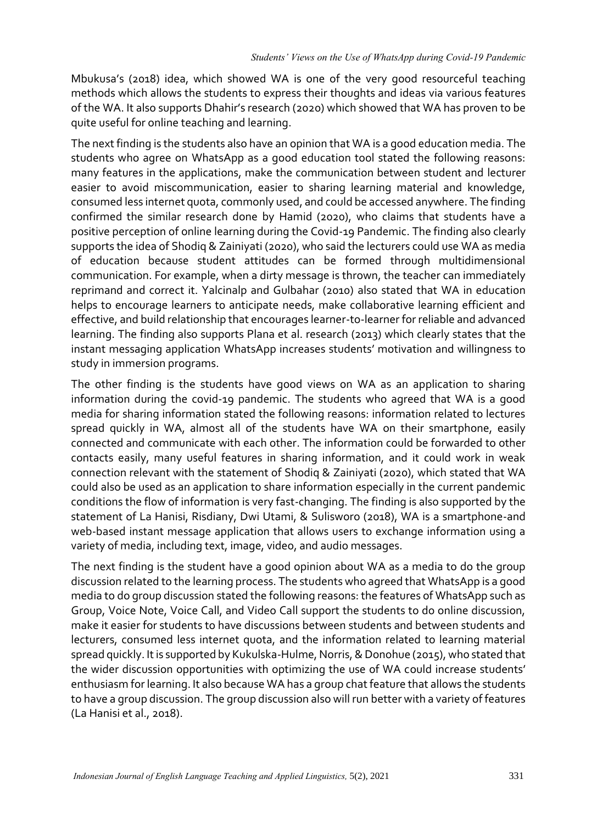Mbukusa's (2018) idea, which showed WA is one of the very good resourceful teaching methods which allows the students to express their thoughts and ideas via various features of the WA. It also supports Dhahir's research (2020) which showed that WA has proven to be quite useful for online teaching and learning.

The next finding is the students also have an opinion that WA is a good education media. The students who agree on WhatsApp as a good education tool stated the following reasons: many features in the applications, make the communication between student and lecturer easier to avoid miscommunication, easier to sharing learning material and knowledge, consumed less internet quota, commonly used, and could be accessed anywhere. The finding confirmed the similar research done by Hamid (2020), who claims that students have a positive perception of online learning during the Covid-19 Pandemic. The finding also clearly supports the idea of Shodiq & Zainiyati (2020), who said the lecturers could use WA as media of education because student attitudes can be formed through multidimensional communication. For example, when a dirty message is thrown, the teacher can immediately reprimand and correct it. Yalcinalp and Gulbahar (2010) also stated that WA in education helps to encourage learners to anticipate needs, make collaborative learning efficient and effective, and build relationship that encourages learner-to-learner for reliable and advanced learning. The finding also supports Plana et al. research (2013) which clearly states that the instant messaging application WhatsApp increases students' motivation and willingness to study in immersion programs.

The other finding is the students have good views on WA as an application to sharing information during the covid-19 pandemic. The students who agreed that WA is a good media for sharing information stated the following reasons: information related to lectures spread quickly in WA, almost all of the students have WA on their smartphone, easily connected and communicate with each other. The information could be forwarded to other contacts easily, many useful features in sharing information, and it could work in weak connection relevant with the statement of Shodiq & Zainiyati (2020), which stated that WA could also be used as an application to share information especially in the current pandemic conditions the flow of information is very fast-changing. The finding is also supported by the statement of La Hanisi, Risdiany, Dwi Utami, & Sulisworo (2018), WA is a smartphone-and web-based instant message application that allows users to exchange information using a variety of media, including text, image, video, and audio messages.

The next finding is the student have a good opinion about WA as a media to do the group discussion related to the learning process. The students who agreed that WhatsApp is a good media to do group discussion stated the following reasons: the features of WhatsApp such as Group, Voice Note, Voice Call, and Video Call support the students to do online discussion, make it easier for students to have discussions between students and between students and lecturers, consumed less internet quota, and the information related to learning material spread quickly. It is supported by Kukulska-Hulme, Norris, & Donohue (2015), who stated that the wider discussion opportunities with optimizing the use of WA could increase students' enthusiasm for learning. It also because WA has a group chat feature that allows the students to have a group discussion. The group discussion also will run better with a variety of features (La Hanisi et al., 2018).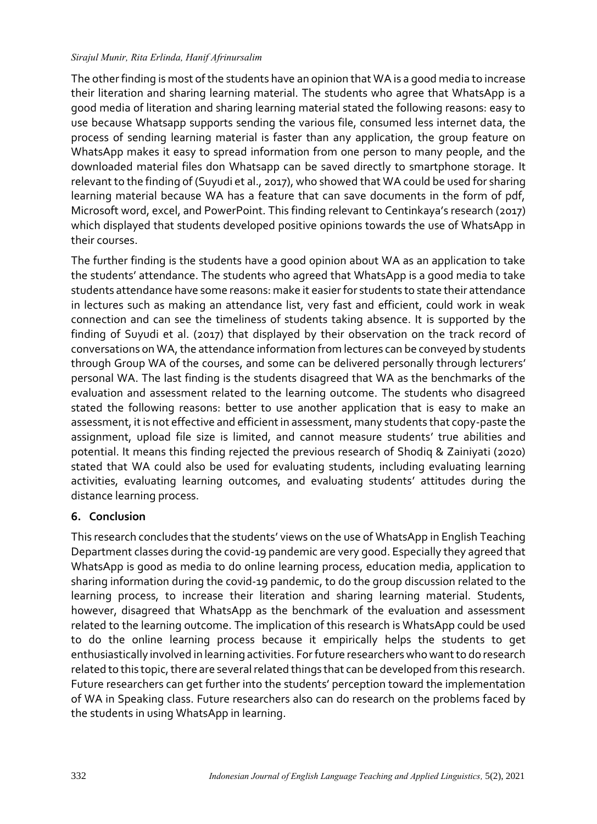The other finding is most of the students have an opinion that WA is a good media to increase their literation and sharing learning material. The students who agree that WhatsApp is a good media of literation and sharing learning material stated the following reasons: easy to use because Whatsapp supports sending the various file, consumed less internet data, the process of sending learning material is faster than any application, the group feature on WhatsApp makes it easy to spread information from one person to many people, and the downloaded material files don Whatsapp can be saved directly to smartphone storage. It relevant to the finding of (Suyudi et al., 2017), who showed that WA could be used for sharing learning material because WA has a feature that can save documents in the form of pdf, Microsoft word, excel, and PowerPoint. This finding relevant to Centinkaya's research (2017) which displayed that students developed positive opinions towards the use of WhatsApp in their courses.

The further finding is the students have a good opinion about WA as an application to take the students' attendance. The students who agreed that WhatsApp is a good media to take students attendance have some reasons: make it easier for students to state their attendance in lectures such as making an attendance list, very fast and efficient, could work in weak connection and can see the timeliness of students taking absence. It is supported by the finding of Suyudi et al. (2017) that displayed by their observation on the track record of conversations on WA, the attendance information from lectures can be conveyed by students through Group WA of the courses, and some can be delivered personally through lecturers' personal WA. The last finding is the students disagreed that WA as the benchmarks of the evaluation and assessment related to the learning outcome. The students who disagreed stated the following reasons: better to use another application that is easy to make an assessment, it is not effective and efficient in assessment, many students that copy-paste the assignment, upload file size is limited, and cannot measure students' true abilities and potential. It means this finding rejected the previous research of Shodiq & Zainiyati (2020) stated that WA could also be used for evaluating students, including evaluating learning activities, evaluating learning outcomes, and evaluating students' attitudes during the distance learning process.

# **6. Conclusion**

This research concludes that the students' views on the use of WhatsApp in English Teaching Department classes during the covid-19 pandemic are very good. Especially they agreed that WhatsApp is good as media to do online learning process, education media, application to sharing information during the covid-19 pandemic, to do the group discussion related to the learning process, to increase their literation and sharing learning material. Students, however, disagreed that WhatsApp as the benchmark of the evaluation and assessment related to the learning outcome. The implication of this research is WhatsApp could be used to do the online learning process because it empirically helps the students to get enthusiastically involved in learning activities. For future researchers who want to do research related to this topic, there are several related things that can be developed from this research. Future researchers can get further into the students' perception toward the implementation of WA in Speaking class. Future researchers also can do research on the problems faced by the students in using WhatsApp in learning.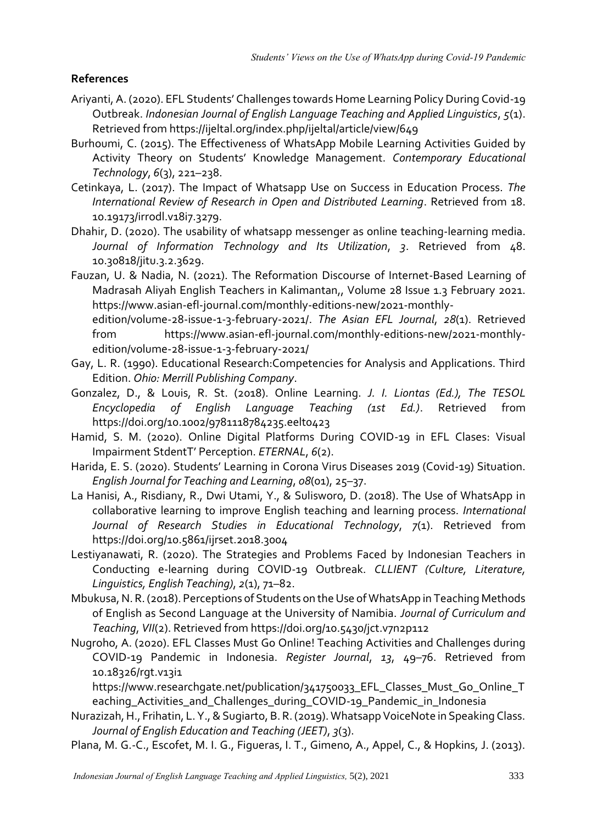# **References**

- Ariyanti, A. (2020). EFL Students' Challenges towards Home Learning Policy During Covid-19 Outbreak. *Indonesian Journal of English Language Teaching and Applied Linguistics*, *5*(1). Retrieved from https://ijeltal.org/index.php/ijeltal/article/view/649
- Burhoumi, C. (2015). The Effectiveness of WhatsApp Mobile Learning Activities Guided by Activity Theory on Students' Knowledge Management. *Contemporary Educational Technology*, *6*(3), 221–238.
- Cetinkaya, L. (2017). The Impact of Whatsapp Use on Success in Education Process. *The International Review of Research in Open and Distributed Learning*. Retrieved from 18. 10.19173/irrodl.v18i7.3279.
- Dhahir, D. (2020). The usability of whatsapp messenger as online teaching-learning media. *Journal of Information Technology and Its Utilization*, *3*. Retrieved from 48. 10.30818/jitu.3.2.3629.
- Fauzan, U. & Nadia, N. (2021). The Reformation Discourse of Internet-Based Learning of Madrasah Aliyah English Teachers in Kalimantan,, Volume 28 Issue 1.3 February 2021. https://www.asian-efl-journal.com/monthly-editions-new/2021-monthly
	- edition/volume-28-issue-1-3-february-2021/. *The Asian EFL Journal*, *28*(1). Retrieved from https://www.asian-efl-journal.com/monthly-editions-new/2021-monthlyedition/volume-28-issue-1-3-february-2021/
- Gay, L. R. (1990). Educational Research:Competencies for Analysis and Applications. Third Edition. *Ohio: Merrill Publishing Company*.
- Gonzalez, D., & Louis, R. St. (2018). Online Learning. *J. I. Liontas (Ed.), The TESOL Encyclopedia of English Language Teaching (1st Ed.)*. Retrieved from https://doi.org/10.1002/9781118784235.eelt0423
- Hamid, S. M. (2020). Online Digital Platforms During COVID-19 in EFL Clases: Visual Impairment StdentT' Perception. *ETERNAL*, *6*(2).
- Harida, E. S. (2020). Students' Learning in Corona Virus Diseases 2019 (Covid-19) Situation. *English Journal for Teaching and Learning*, *08*(01), 25–37.
- La Hanisi, A., Risdiany, R., Dwi Utami, Y., & Sulisworo, D. (2018). The Use of WhatsApp in collaborative learning to improve English teaching and learning process. *International Journal of Research Studies in Educational Technology*, *7*(1). Retrieved from https://doi.org/10.5861/ijrset.2018.3004
- Lestiyanawati, R. (2020). The Strategies and Problems Faced by Indonesian Teachers in Conducting e-learning during COVID-19 Outbreak. *CLLIENT (Culture, Literature, Linguistics, English Teaching)*, *2*(1), 71–82.
- Mbukusa, N. R. (2018). Perceptions of Students on the Use of WhatsApp in Teaching Methods of English as Second Language at the University of Namibia. *Journal of Curriculum and Teaching*, *VII*(2). Retrieved from https://doi.org/10.5430/jct.v7n2p112
- Nugroho, A. (2020). EFL Classes Must Go Online! Teaching Activities and Challenges during COVID-19 Pandemic in Indonesia. *Register Journal*, *13*, 49–76. Retrieved from 10.18326/rgt.v13i1
	- https://www.researchgate.net/publication/341750033\_EFL\_Classes\_Must\_Go\_Online\_T eaching\_Activities\_and\_Challenges\_during\_COVID-19\_Pandemic\_in\_Indonesia
- Nurazizah, H., Frihatin, L. Y., & Sugiarto, B. R. (2019). Whatsapp VoiceNote in Speaking Class. *Journal of English Education and Teaching (JEET)*, *3*(3).
- Plana, M. G.-C., Escofet, M. I. G., Figueras, I. T., Gimeno, A., Appel, C., & Hopkins, J. (2013).